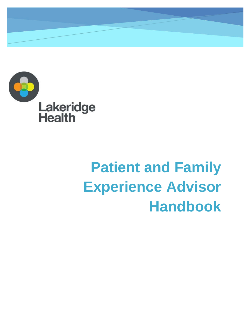

# **Patient and Family Experience Advisor Handbook**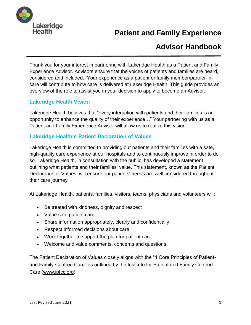

# **Patient and Family Experience**

# **Advisor Handbook**

Thank you for your interest in partnering with Lakeridge Health as a Patient and Family Experience Advisor. Advisors ensure that the voices of patients and families are heard, considered and included. Your experience as a patient or family member/partner-incare will contribute to how care is delivered at Lakeridge Health. This guide provides an overview of the role to assist you in your decision to apply to become an Advisor.

#### **Lakeridge Health Vision**

Lakeridge Health believes that "every interaction with patients and their families is an opportunity to enhance the quality of their experience…" Your partnering with us as a Patient and Family Experience Advisor will allow us to realize this vision.

#### **Lakeridge Health's Patient Declaration of Values**

Lakeridge Health is committed to providing our patients and their families with a safe, high-quality care experience at our hospitals and to continuously improve in order to do so. Lakeridge Health, in consultation with the public, has developed a statement outlining what patients and their families' value. This statement, known as the Patient Declaration of Values, will ensure our patients' needs are well considered throughout their care journey.

At Lakeridge Health, patients, families, visitors, teams, physicians and volunteers will:

- Be treated with kindness, dignity and respect
- Value safe patient care
- Share information appropriately, clearly and confidentially
- Respect informed decisions about care
- Work together to support the plan for patient care
- Welcome and value comments, concerns and questions

The Patient Declaration of Values closely aligns with the "4 Core Principles of Patientand Family-Centred Care" as outlined by the Institute for Patient and Family Centred Care [\(www.ipfcc.org\)](http://www.ipfcc.org/)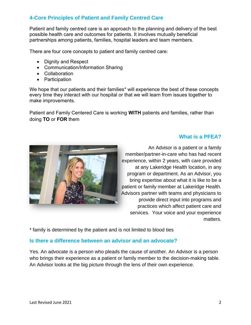# **4-Core Principles of Patient and Family Centred Care**

Patient and family centred care is an approach to the planning and delivery of the best possible health care and outcomes for patients. It involves mutually beneficial partnerships among patients, families, hospital leaders and team members.

There are four core concepts to patient and family centred care:

- Dignity and Respect
- Communication/Information Sharing
- Collaboration
- Participation

We hope that our patients and their families\* will experience the best of these concepts every time they interact with our hospital or that we will learn from issues together to make improvements.

Patient and Family Centered Care is working **WITH** patients and families, rather than doing **TO** or **FOR** them

#### **What is a PFEA?**



An Advisor is a patient or a family member/partner-in-care who has had recent experience, within 2 years, with care provided at any Lakeridge Health location, in any program or department. As an Advisor, you bring expertise about what it is like to be a patient or family member at Lakeridge Health. Advisors partner with teams and physicians to provide direct input into programs and practices which affect patient care and services. Your voice and your experience matters.

\* family is determined by the patient and is not limited to blood ties

#### **Is there a difference between an advisor and an advocate?**

Yes. An advocate is a person who pleads the cause of another. An Advisor is a person who brings their experience as a patient or family member to the decision-making table. An Advisor looks at the big picture through the lens of their own experience.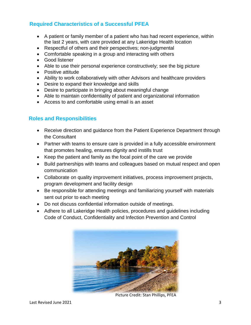# **Required Characteristics of a Successful PFEA**

- A patient or family member of a patient who has had recent experience, within the last 2 years, with care provided at any Lakeridge Health location
- Respectful of others and their perspectives; non-judgmental
- Comfortable speaking in a group and interacting with others
- Good listener
- Able to use their personal experience constructively; see the big picture
- Positive attitude
- Ability to work collaboratively with other Advisors and healthcare providers
- Desire to expand their knowledge and skills
- Desire to participate in bringing about meaningful change
- Able to maintain confidentiality of patient and organizational information
- Access to and comfortable using email is an asset

#### **Roles and Responsibilities**

- Receive direction and guidance from the Patient Experience Department through the Consultant
- Partner with teams to ensure care is provided in a fully accessible environment that promotes healing, ensures dignity and instills trust
- Keep the patient and family as the focal point of the care we provide
- Build partnerships with teams and colleagues based on mutual respect and open communication
- Collaborate on quality improvement initiatives, process improvement projects, program development and facility design
- Be responsible for attending meetings and familiarizing yourself with materials sent out prior to each meeting
- Do not discuss confidential information outside of meetings.
- Adhere to all Lakeridge Health policies, procedures and guidelines including Code of Conduct, Confidentiality and Infection Prevention and Control



Picture Credit: Stan Phillips, PFEA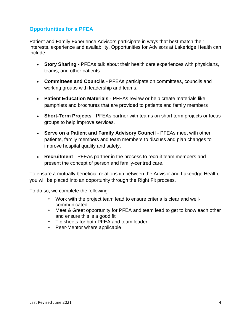# **Opportunities for a PFEA**

Patient and Family Experience Advisors participate in ways that best match their interests, experience and availability. Opportunities for Advisors at Lakeridge Health can include:

- **Story Sharing** PFEAs talk about their health care experiences with physicians, teams, and other patients.
- **Committees and Councils** PFEAs participate on committees, councils and working groups with leadership and teams.
- **Patient Education Materials** PFEAs review or help create materials like pamphlets and brochures that are provided to patients and family members
- **Short-Term Projects** PFEAs partner with teams on short term projects or focus groups to help improve services.
- **Serve on a Patient and Family Advisory Council** PFEAs meet with other patients, family members and team members to discuss and plan changes to improve hospital quality and safety.
- **Recruitment** PFEAs partner in the process to recruit team members and present the concept of person and family-centred care.

To ensure a mutually beneficial relationship between the Advisor and Lakeridge Health, you will be placed into an opportunity through the Right Fit process.

To do so, we complete the following:

- Work with the project team lead to ensure criteria is clear and wellcommunicated
- Meet & Greet opportunity for PFEA and team lead to get to know each other and ensure this is a good fit
- Tip sheets for both PFEA and team leader
- Peer-Mentor where applicable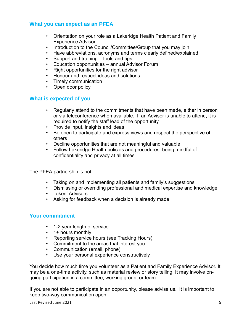#### **What you can expect as an PFEA**

- Orientation on your role as a Lakeridge Health Patient and Family Experience Advisor
- Introduction to the Council/Committee/Group that you may join
- Have abbreviations, acronyms and terms clearly defined/explained.
- Support and training tools and tips
- Education opportunities annual Advisor Forum
- Right opportunities for the right advisor
- Honour and respect ideas and solutions
- Timely communication
- Open door policy

#### **What is expected of you**

- Regularly attend to the commitments that have been made, either in person or via teleconference when available. If an Advisor is unable to attend, it is required to notify the staff lead of the opportunity
- Provide input, insights and ideas
- Be open to participate and express views and respect the perspective of others
- Decline opportunities that are not meaningful and valuable
- Follow Lakeridge Health policies and procedures; being mindful of confidentiality and privacy at all times

The PFEA partnership is not:

- Taking on and implementing all patients and family's suggestions
- Dismissing or overriding professional and medical expertise and knowledge
- 'token' Advisors
- Asking for feedback when a decision is already made

#### **Your commitment**

- 1-2 year length of service
- 1+ hours monthly
- Reporting service hours (see Tracking Hours)
- Commitment to the areas that interest you
- Communication (email, phone)
- Use your personal experience constructively

You decide how much time you volunteer as a Patient and Family Experience Advisor. It may be a one-time activity, such as material review or story telling. It may involve ongoing participation in a committee, working group, or team.

If you are not able to participate in an opportunity, please advise us. It is important to keep two-way communication open.

Last Revised June 2021 5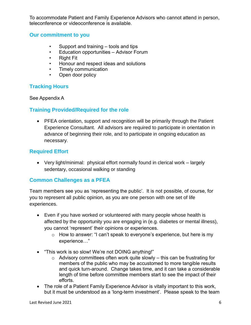To accommodate Patient and Family Experience Advisors who cannot attend in person, teleconference or videoconference is available.

#### **Our commitment to you**

- Support and training tools and tips
- Education opportunities Advisor Forum
- Right Fit
- Honour and respect ideas and solutions
- Timely communication
- Open door policy

## **Tracking Hours**

#### See Appendix A

## **Training Provided/Required for the role**

 PFEA orientation, support and recognition will be primarily through the Patient Experience Consultant. All advisors are required to participate in orientation in advance of beginning their role, and to participate in ongoing education as necessary.

## **Required Effort**

 Very light/minimal: physical effort normally found in clerical work – largely sedentary, occasional walking or standing

#### **Common Challenges as a PFEA**

Team members see you as 'representing the public'. It is not possible, of course, for you to represent all public opinion, as you are one person with one set of life experiences.

- Even if you have worked or volunteered with many people whose health is affected by the opportunity you are engaging in (e.g. diabetes or mental illness), you cannot 'represent' their opinions or experiences.
	- o How to answer: "I can't speak to everyone's experience, but here is my experience…"
- "This work is so slow! We're not DOING anything!"
	- $\circ$  Advisory committees often work quite slowly this can be frustrating for members of the public who may be accustomed to more tangible results and quick turn-around. Change takes time, and it can take a considerable length of time before committee members start to see the impact of their efforts.
- The role of a Patient Family Experience Advisor is vitally important to this work, but it must be understood as a 'long-term investment'. Please speak to the team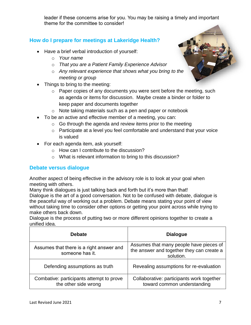leader if these concerns arise for you. You may be raising a timely and important theme for the committee to consider!

# **How do I prepare for meetings at Lakeridge Health?**

- Have a brief verbal introduction of yourself:
	- o *Your name*
	- o *That you are a Patient Family Experience Advisor*
	- o *Any relevant experience that shows what you bring to the meeting or group*
- Things to bring to the meeting:
	- o Paper copies of any documents you were sent before the meeting, such as agenda or items for discussion. Maybe create a binder or folder to keep paper and documents together
	- o Note taking materials such as a pen and paper or notebook
- To be an active and effective member of a meeting, you can:
	- $\circ$  Go through the agenda and review items prior to the meeting
	- o Participate at a level you feel comfortable and understand that your voice is valued
- For each agenda item, ask yourself:
	- o How can I contribute to the discussion?
	- o What is relevant information to bring to this discussion?

#### **Debate versus dialogue**

Another aspect of being effective in the advisory role is to look at your goal when meeting with others.

Many think dialogues is just talking back and forth but it's more than that! Dialogue is the art of a good conversation. Not to be confused with debate, dialogue is the peaceful way of working out a problem. Debate means stating your point of view without taking time to consider other options or getting your point across while trying to make others back down.

Dialogue is the process of putting two or more different opinions together to create a unified idea.

| <b>Debate</b>                                                    | <b>Dialogue</b>                                                                                   |
|------------------------------------------------------------------|---------------------------------------------------------------------------------------------------|
| Assumes that there is a right answer and<br>someone has it.      | Assumes that many people have pieces of<br>the answer and together they can create a<br>solution. |
| Defending assumptions as truth                                   | Revealing assumptions for re-evaluation                                                           |
| Combative: participants attempt to prove<br>the other side wrong | Collaborative: participants work together<br>toward common understanding                          |

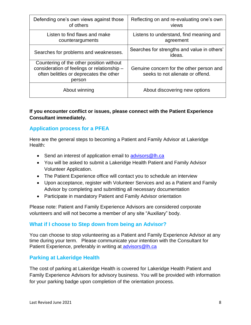| Defending one's own views against those<br>of others                                                                                         | Reflecting on and re-evaluating one's own<br>views                           |  |
|----------------------------------------------------------------------------------------------------------------------------------------------|------------------------------------------------------------------------------|--|
| Listen to find flaws and make<br>counterarguments                                                                                            | Listens to understand, find meaning and<br>agreement                         |  |
| Searches for problems and weaknesses.                                                                                                        | Searches for strengths and value in others'<br>ideas.                        |  |
| Countering of the other position without<br>consideration of feelings or relationship -<br>often belittles or deprecates the other<br>person | Genuine concern for the other person and<br>seeks to not alienate or offend. |  |
| About winning                                                                                                                                | About discovering new options                                                |  |

#### **If you encounter conflict or issues, please connect with the Patient Experience Consultant immediately.**

## **Application process for a PFEA**

Here are the general steps to becoming a Patient and Family Advisor at Lakeridge Health:

- Send an interest of application email to [advisors@lh.ca](mailto:advisors@lh.ca)
- You will be asked to submit a Lakeridge Health Patient and Family Advisor Volunteer Application.
- The Patient Experience office will contact you to schedule an interview
- Upon acceptance, register with Volunteer Services and as a Patient and Family Advisor by completing and submitting all necessary documentation
- Participate in mandatory Patient and Family Advisor orientation

Please note: Patient and Family Experience Advisors are considered corporate volunteers and will not become a member of any site "Auxiliary" body.

#### **What if I choose to Step down from being an Advisor?**

You can choose to stop volunteering as a Patient and Family Experience Advisor at any time during your term. Please communicate your intention with the Consultant for Patient Experience, preferably in writing at [advisors@lh.ca](mailto:advisors@lh.ca)

#### **Parking at Lakeridge Health**

The cost of parking at Lakeridge Health is covered for Lakeridge Health Patient and Family Experience Advisors for advisory business. You will be provided with information for your parking badge upon completion of the orientation process.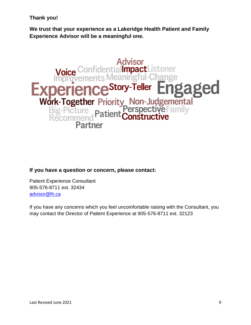**Thank you!**

**We trust that your experience as a Lakeridge Health Patient and Family Experience Advisor will be a meaningful one.**



#### **If you have a question or concern, please contact:**

Patient Experience Consultant 905-576-8711 ext. 32434 [advisor@lh.ca](mailto:advisor@lh.ca)

If you have any concerns which you feel uncomfortable raising with the Consultant, you may contact the Director of Patient Experience at 905-576-8711 ext. 32123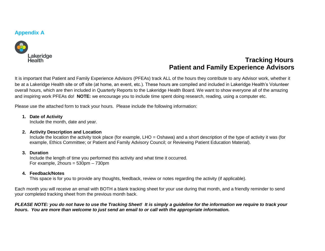#### **Appendix A**



# **Tracking Hours Patient and Family Experience Advisors**

It is important that Patient and Family Experience Advisors (PFEAs) track ALL of the hours they contribute to any Advisor work, whether it be at a Lakeridge Health site or off site (at home, an event, etc.). These hours are compiled and included in Lakeridge Health's Volunteer overall hours, which are then included in Quarterly Reports to the Lakeridge Health Board. We want to show everyone all of the amazing and inspiring work PFEAs do! **NOTE:** we encourage you to include time spent doing research, reading, using a computer etc.

Please use the attached form to track your hours. Please include the following information:

#### **1. Date of Activity**

Include the month, date and year.

#### **2. Activity Description and Location**

Include the location the activity took place (for example, LHO = Oshawa) and a short description of the type of activity it was (for example, Ethics Committee; or Patient and Family Advisory Council; or Reviewing Patient Education Material).

#### **3. Duration**

Include the length of time you performed this activity and what time it occurred. For example, 2hours = 530pm – 730pm

#### **4. Feedback/Notes**

This space is for you to provide any thoughts, feedback, review or notes regarding the activity (if applicable).

Each month you will receive an email with BOTH a blank tracking sheet for your use during that month, and a friendly reminder to send your completed tracking sheet from the previous month back.

*PLEASE NOTE: you do not have to use the Tracking Sheet! It is simply a guideline for the information we require to track your hours. You are more than welcome to just send an email to or call with the appropriate information.*